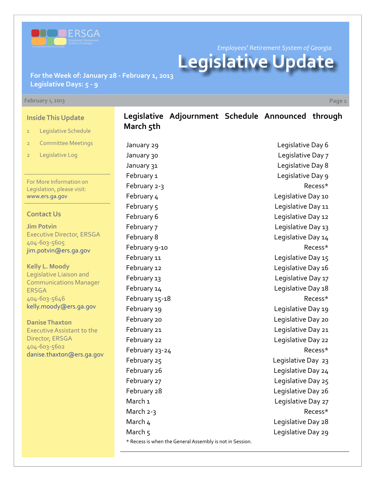

*Employees' Retirement System of Georgia*

# **Legislative Update**

**For the Week of: January 28 - February 1, 2013 Legislative Days: 5 - 9**

#### **February 1, 2013 Page 1**

**Inside This Update**

- 1 Legislative Schedule
- 2 Committee Meetings
- 2 Legislative Log

For More Information on Legislation, please visit: [www.ers.ga.gov](http://www.ers.ga.gov/default.aspx)

#### **Contact Us**

**Jim Potvin** Executive Director, ERSGA 404-603-5605 jim.potvin@ers.ga.gov

**Kelly L. Moody** Legislative Liaison and Communications Manager ERSGA 404-603-5646 kelly.moody@ers.ga.gov

**Danise Thaxton** Executive Assistant to the Director, ERSGA 404-603-5602 danise.thaxton@ers.ga.gov

## **Legislative Adjournment Schedule Announced through March 5th**

January 29 Legislative Day 6 \* Recess is when the General Assembly is not in Session.

January 30 **Legislative Day 7** January 31 **Legislative Day 8** February 1 Legislative Day 9 February 2-3 Recess\* February 4 **Legislative Day 10** February 5 and 10 and 10 and 10 and 10 and 10 and 10 and 10 and 11 and 12 and 13 and 14 and 15 and 16 and 17 and 17 and 17 and 17 and 17 and 17 and 17 and 17 and 17 and 17 and 17 and 17 and 17 and 17 and 17 and 17 and 17 a February 6 **Legislative Day 12** February 7 Legislative Day 13 February 8 **Legislative Day 14** February 9-10 **Recess**\* February 11 **Example 20** The United States Legislative Day 15 February 12 **Example 2** Legislative Day 16 February 13 **Example 20** Legislative Day 17 February 14 **Example 28** Legislative Day 18 February 15-18 and the state of the state of the Recess\* February 19 **Example 20** Legislative Day 19 February 20 Legislative Day 20 February 21 **Example 21** Legislative Day 21 February 22 Legislative Day 22 February 23-24 Recess\* February 25 Legislative Day 23 February 26 **Legislative Day 24** February 27 and 2012 12:00 Engine Legislative Day 25 February 28 **Legislative Day 26** March 1 **March** 1 **Legislative Day 27** March 2-3 March 4 Legislative Day 28 March 5 Legislative Day 29